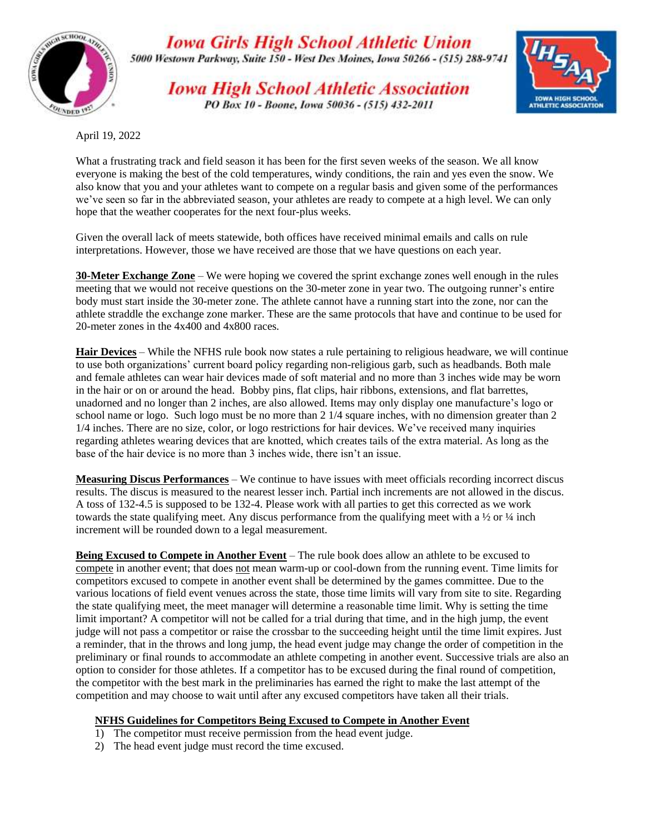

**Iowa Girls High School Athletic Union** 

5000 Westown Parkway, Suite 150 - West Des Moines, Iowa 50266 - (515) 288-9741

**Iowa High School Athletic Association** PO Box 10 - Boone, Iowa 50036 - (515) 432-2011



April 19, 2022

What a frustrating track and field season it has been for the first seven weeks of the season. We all know everyone is making the best of the cold temperatures, windy conditions, the rain and yes even the snow. We also know that you and your athletes want to compete on a regular basis and given some of the performances we've seen so far in the abbreviated season, your athletes are ready to compete at a high level. We can only hope that the weather cooperates for the next four-plus weeks.

Given the overall lack of meets statewide, both offices have received minimal emails and calls on rule interpretations. However, those we have received are those that we have questions on each year.

**30-Meter Exchange Zone** – We were hoping we covered the sprint exchange zones well enough in the rules meeting that we would not receive questions on the 30-meter zone in year two. The outgoing runner's entire body must start inside the 30-meter zone. The athlete cannot have a running start into the zone, nor can the athlete straddle the exchange zone marker. These are the same protocols that have and continue to be used for 20-meter zones in the 4x400 and 4x800 races.

**Hair Devices** – While the NFHS rule book now states a rule pertaining to religious headware, we will continue to use both organizations' current board policy regarding non-religious garb, such as headbands. Both male and female athletes can wear hair devices made of soft material and no more than 3 inches wide may be worn in the hair or on or around the head. Bobby pins, flat clips, hair ribbons, extensions, and flat barrettes, unadorned and no longer than 2 inches, are also allowed. Items may only display one manufacture's logo or school name or logo. Such logo must be no more than 2 1/4 square inches, with no dimension greater than 2 1/4 inches. There are no size, color, or logo restrictions for hair devices. We've received many inquiries regarding athletes wearing devices that are knotted, which creates tails of the extra material. As long as the base of the hair device is no more than 3 inches wide, there isn't an issue.

**Measuring Discus Performances** – We continue to have issues with meet officials recording incorrect discus results. The discus is measured to the nearest lesser inch. Partial inch increments are not allowed in the discus. A toss of 132-4.5 is supposed to be 132-4. Please work with all parties to get this corrected as we work towards the state qualifying meet. Any discus performance from the qualifying meet with a  $\frac{1}{2}$  or  $\frac{1}{4}$  inch increment will be rounded down to a legal measurement.

**Being Excused to Compete in Another Event** – The rule book does allow an athlete to be excused to compete in another event; that does not mean warm-up or cool-down from the running event. Time limits for competitors excused to compete in another event shall be determined by the games committee. Due to the various locations of field event venues across the state, those time limits will vary from site to site. Regarding the state qualifying meet, the meet manager will determine a reasonable time limit. Why is setting the time limit important? A competitor will not be called for a trial during that time, and in the high jump, the event judge will not pass a competitor or raise the crossbar to the succeeding height until the time limit expires. Just a reminder, that in the throws and long jump, the head event judge may change the order of competition in the preliminary or final rounds to accommodate an athlete competing in another event. Successive trials are also an option to consider for those athletes. If a competitor has to be excused during the final round of competition, the competitor with the best mark in the preliminaries has earned the right to make the last attempt of the competition and may choose to wait until after any excused competitors have taken all their trials.

## **NFHS Guidelines for Competitors Being Excused to Compete in Another Event**

- 1) The competitor must receive permission from the head event judge.
- 2) The head event judge must record the time excused.